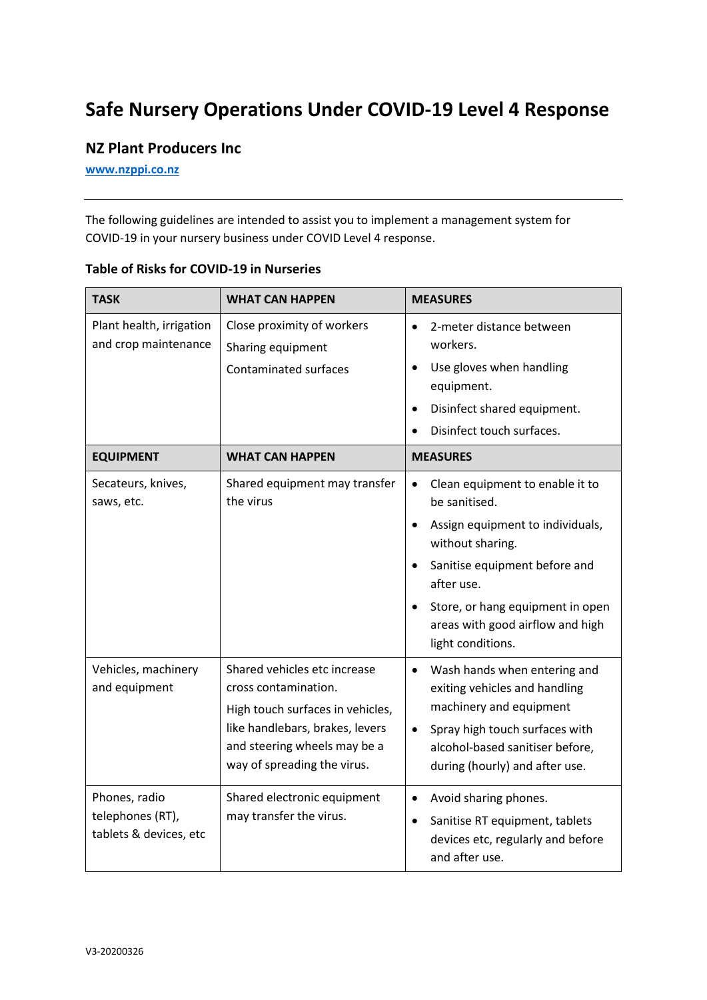## **Safe Nursery Operations Under COVID-19 Level 4 Response**

## **NZ Plant Producers Inc**

**[www.nzppi.co.nz](http://www.nzppi.co.nz/)**

The following guidelines are intended to assist you to implement a management system for COVID-19 in your nursery business under COVID Level 4 response.

| <b>TASK</b>                                                 | <b>WHAT CAN HAPPEN</b>                                                                                                                                                                     | <b>MEASURES</b>                                                                                                                                                                                                                                                                |
|-------------------------------------------------------------|--------------------------------------------------------------------------------------------------------------------------------------------------------------------------------------------|--------------------------------------------------------------------------------------------------------------------------------------------------------------------------------------------------------------------------------------------------------------------------------|
| Plant health, irrigation<br>and crop maintenance            | Close proximity of workers<br>Sharing equipment<br><b>Contaminated surfaces</b>                                                                                                            | 2-meter distance between<br>$\bullet$<br>workers.<br>Use gloves when handling<br>$\bullet$<br>equipment.<br>Disinfect shared equipment.<br>$\bullet$<br>Disinfect touch surfaces.                                                                                              |
| <b>EQUIPMENT</b>                                            | <b>WHAT CAN HAPPEN</b>                                                                                                                                                                     | <b>MEASURES</b>                                                                                                                                                                                                                                                                |
| Secateurs, knives,<br>saws, etc.                            | Shared equipment may transfer<br>the virus                                                                                                                                                 | Clean equipment to enable it to<br>$\bullet$<br>be sanitised.<br>Assign equipment to individuals,<br>$\bullet$<br>without sharing.<br>Sanitise equipment before and<br>after use.<br>Store, or hang equipment in open<br>areas with good airflow and high<br>light conditions. |
| Vehicles, machinery<br>and equipment                        | Shared vehicles etc increase<br>cross contamination.<br>High touch surfaces in vehicles,<br>like handlebars, brakes, levers<br>and steering wheels may be a<br>way of spreading the virus. | Wash hands when entering and<br>$\bullet$<br>exiting vehicles and handling<br>machinery and equipment<br>Spray high touch surfaces with<br>$\bullet$<br>alcohol-based sanitiser before,<br>during (hourly) and after use.                                                      |
| Phones, radio<br>telephones (RT),<br>tablets & devices, etc | Shared electronic equipment<br>may transfer the virus.                                                                                                                                     | Avoid sharing phones.<br>$\bullet$<br>Sanitise RT equipment, tablets<br>$\bullet$<br>devices etc, regularly and before<br>and after use.                                                                                                                                       |

## **Table of Risks for COVID-19 in Nurseries**